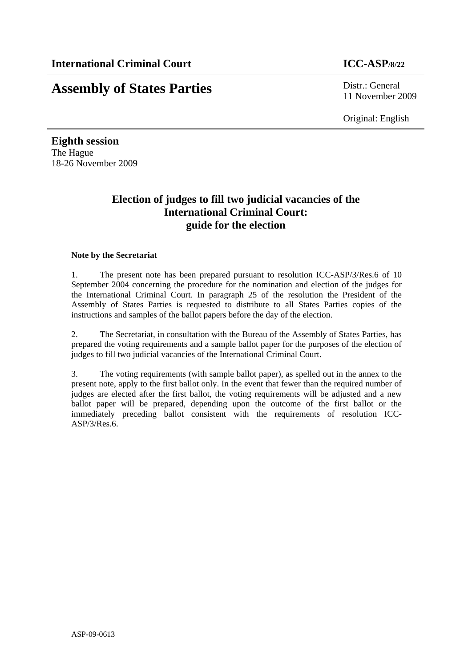# **Assembly of States Parties** Distr.: General

11 November 2009

Original: English

**Eighth session**  The Hague 18-26 November 2009

## **Election of judges to fill two judicial vacancies of the International Criminal Court: guide for the election**

#### **Note by the Secretariat**

1. The present note has been prepared pursuant to resolution ICC-ASP/3/Res.6 of 10 September 2004 concerning the procedure for the nomination and election of the judges for the International Criminal Court. In paragraph 25 of the resolution the President of the Assembly of States Parties is requested to distribute to all States Parties copies of the instructions and samples of the ballot papers before the day of the election.

2. The Secretariat, in consultation with the Bureau of the Assembly of States Parties, has prepared the voting requirements and a sample ballot paper for the purposes of the election of judges to fill two judicial vacancies of the International Criminal Court.

3. The voting requirements (with sample ballot paper), as spelled out in the annex to the present note, apply to the first ballot only. In the event that fewer than the required number of judges are elected after the first ballot, the voting requirements will be adjusted and a new ballot paper will be prepared, depending upon the outcome of the first ballot or the immediately preceding ballot consistent with the requirements of resolution ICC-ASP/3/Res.6.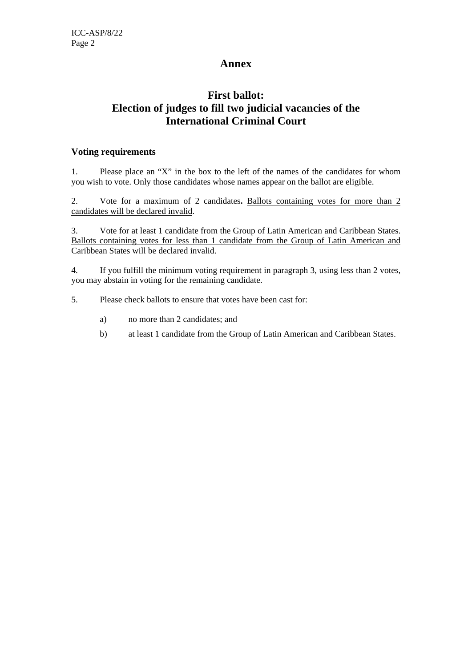### **Annex**

## **First ballot: Election of judges to fill two judicial vacancies of the International Criminal Court**

#### **Voting requirements**

1. Please place an "X" in the box to the left of the names of the candidates for whom you wish to vote. Only those candidates whose names appear on the ballot are eligible.

2. Vote for a maximum of 2 candidates**.** Ballots containing votes for more than 2 candidates will be declared invalid.

3. Vote for at least 1 candidate from the Group of Latin American and Caribbean States. Ballots containing votes for less than 1 candidate from the Group of Latin American and Caribbean States will be declared invalid.

4. If you fulfill the minimum voting requirement in paragraph 3, using less than 2 votes, you may abstain in voting for the remaining candidate.

5. Please check ballots to ensure that votes have been cast for:

- a) no more than 2 candidates; and
- b) at least 1 candidate from the Group of Latin American and Caribbean States.